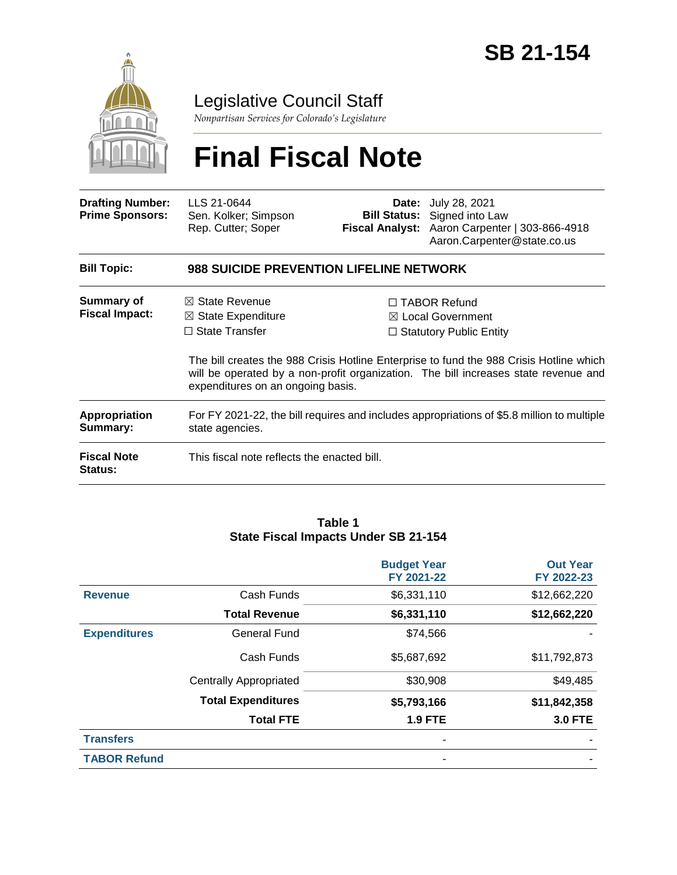

## Legislative Council Staff

*Nonpartisan Services for Colorado's Legislature*

# **Final Fiscal Note**

| <b>Drafting Number:</b><br><b>Prime Sponsors:</b> | LLS 21-0644<br>Sen. Kolker; Simpson<br>Rep. Cutter; Soper                                                                |  | <b>Date:</b> July 28, 2021<br><b>Bill Status:</b> Signed into Law<br>Fiscal Analyst: Aaron Carpenter   303-866-4918<br>Aaron.Carpenter@state.co.us                                                                                                                      |  |
|---------------------------------------------------|--------------------------------------------------------------------------------------------------------------------------|--|-------------------------------------------------------------------------------------------------------------------------------------------------------------------------------------------------------------------------------------------------------------------------|--|
| <b>Bill Topic:</b>                                | <b>988 SUICIDE PREVENTION LIFELINE NETWORK</b>                                                                           |  |                                                                                                                                                                                                                                                                         |  |
| <b>Summary of</b><br><b>Fiscal Impact:</b>        | $\boxtimes$ State Revenue<br>$\boxtimes$ State Expenditure<br>$\Box$ State Transfer<br>expenditures on an ongoing basis. |  | $\Box$ TABOR Refund<br>$\boxtimes$ Local Government<br>$\Box$ Statutory Public Entity<br>The bill creates the 988 Crisis Hotline Enterprise to fund the 988 Crisis Hotline which<br>will be operated by a non-profit organization. The bill increases state revenue and |  |
| <b>Appropriation</b><br>Summary:                  | For FY 2021-22, the bill requires and includes appropriations of \$5.8 million to multiple<br>state agencies.            |  |                                                                                                                                                                                                                                                                         |  |
| <b>Fiscal Note</b><br><b>Status:</b>              | This fiscal note reflects the enacted bill.                                                                              |  |                                                                                                                                                                                                                                                                         |  |

#### **Table 1 State Fiscal Impacts Under SB 21-154**

|                     |                               | <b>Budget Year</b><br>FY 2021-22 | <b>Out Year</b><br>FY 2022-23 |
|---------------------|-------------------------------|----------------------------------|-------------------------------|
| <b>Revenue</b>      | Cash Funds                    | \$6,331,110                      | \$12,662,220                  |
|                     | <b>Total Revenue</b>          | \$6,331,110                      | \$12,662,220                  |
| <b>Expenditures</b> | General Fund                  | \$74,566                         |                               |
|                     | Cash Funds                    | \$5,687,692                      | \$11,792,873                  |
|                     | <b>Centrally Appropriated</b> | \$30,908                         | \$49,485                      |
|                     | <b>Total Expenditures</b>     | \$5,793,166                      | \$11,842,358                  |
|                     | <b>Total FTE</b>              | <b>1.9 FTE</b>                   | <b>3.0 FTE</b>                |
| <b>Transfers</b>    |                               | ۰                                |                               |
| <b>TABOR Refund</b> |                               | ۰                                |                               |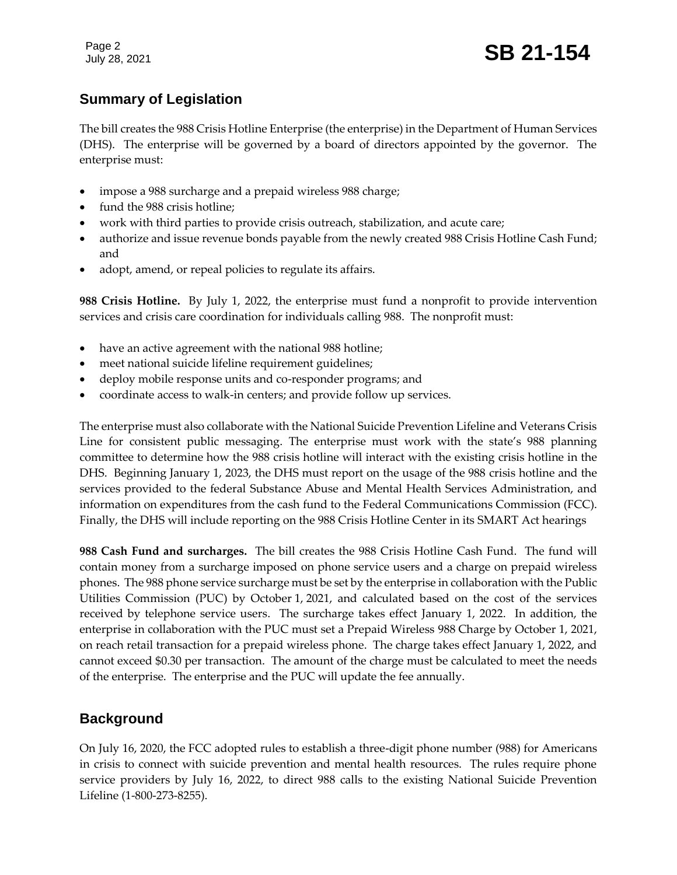Page 2

## **Summary of Legislation**

The bill creates the 988 Crisis Hotline Enterprise (the enterprise) in the Department of Human Services (DHS). The enterprise will be governed by a board of directors appointed by the governor. The enterprise must:

- impose a 988 surcharge and a prepaid wireless 988 charge;
- fund the 988 crisis hotline;
- work with third parties to provide crisis outreach, stabilization, and acute care;
- authorize and issue revenue bonds payable from the newly created 988 Crisis Hotline Cash Fund; and
- adopt, amend, or repeal policies to regulate its affairs.

**988 Crisis Hotline.** By July 1, 2022, the enterprise must fund a nonprofit to provide intervention services and crisis care coordination for individuals calling 988. The nonprofit must:

- have an active agreement with the national 988 hotline;
- meet national suicide lifeline requirement guidelines;
- deploy mobile response units and co-responder programs; and
- coordinate access to walk-in centers; and provide follow up services.

The enterprise must also collaborate with the National Suicide Prevention Lifeline and Veterans Crisis Line for consistent public messaging. The enterprise must work with the state's 988 planning committee to determine how the 988 crisis hotline will interact with the existing crisis hotline in the DHS. Beginning January 1, 2023, the DHS must report on the usage of the 988 crisis hotline and the services provided to the federal Substance Abuse and Mental Health Services Administration, and information on expenditures from the cash fund to the Federal Communications Commission (FCC). Finally, the DHS will include reporting on the 988 Crisis Hotline Center in its SMART Act hearings

**988 Cash Fund and surcharges.** The bill creates the 988 Crisis Hotline Cash Fund. The fund will contain money from a surcharge imposed on phone service users and a charge on prepaid wireless phones. The 988 phone service surcharge must be set by the enterprise in collaboration with the Public Utilities Commission (PUC) by October 1, 2021, and calculated based on the cost of the services received by telephone service users. The surcharge takes effect January 1, 2022. In addition, the enterprise in collaboration with the PUC must set a Prepaid Wireless 988 Charge by October 1, 2021, on reach retail transaction for a prepaid wireless phone. The charge takes effect January 1, 2022, and cannot exceed \$0.30 per transaction. The amount of the charge must be calculated to meet the needs of the enterprise. The enterprise and the PUC will update the fee annually.

## **Background**

On July 16, 2020, the FCC adopted rules to establish a three-digit phone number (988) for Americans in crisis to connect with suicide prevention and mental health resources. The rules require phone service providers by July 16, 2022, to direct 988 calls to the existing National Suicide Prevention Lifeline (1-800-273-8255).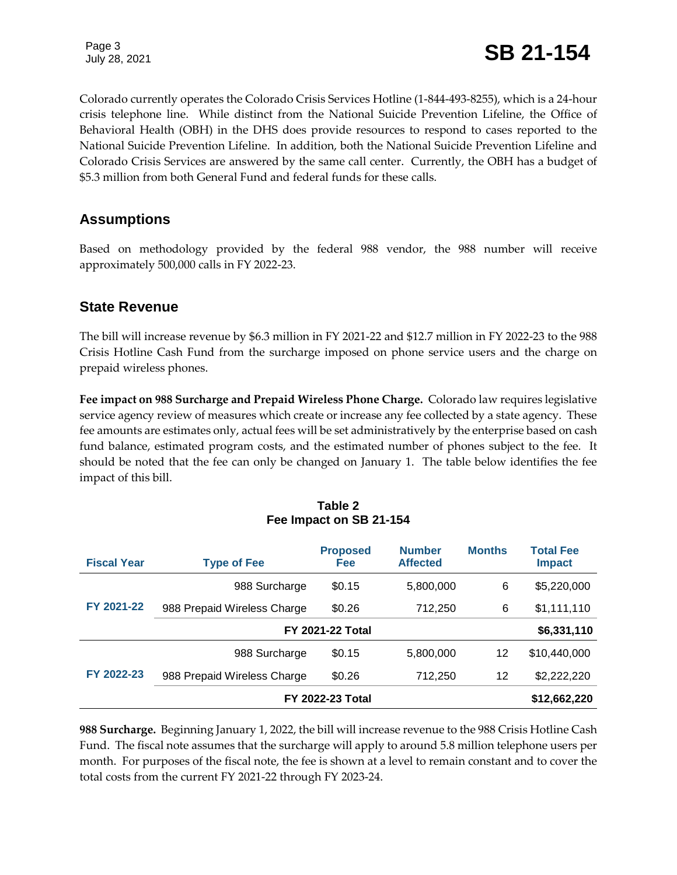Colorado currently operates the Colorado Crisis Services Hotline (1-844-493-8255), which is a 24-hour crisis telephone line. While distinct from the National Suicide Prevention Lifeline, the Office of Behavioral Health (OBH) in the DHS does provide resources to respond to cases reported to the National Suicide Prevention Lifeline. In addition, both the National Suicide Prevention Lifeline and Colorado Crisis Services are answered by the same call center. Currently, the OBH has a budget of \$5.3 million from both General Fund and federal funds for these calls.

## **Assumptions**

Based on methodology provided by the federal 988 vendor, the 988 number will receive approximately 500,000 calls in FY 2022-23.

## **State Revenue**

The bill will increase revenue by \$6.3 million in FY 2021-22 and \$12.7 million in FY 2022-23 to the 988 Crisis Hotline Cash Fund from the surcharge imposed on phone service users and the charge on prepaid wireless phones.

**Fee impact on 988 Surcharge and Prepaid Wireless Phone Charge.** Colorado law requires legislative service agency review of measures which create or increase any fee collected by a state agency. These fee amounts are estimates only, actual fees will be set administratively by the enterprise based on cash fund balance, estimated program costs, and the estimated number of phones subject to the fee. It should be noted that the fee can only be changed on January 1. The table below identifies the fee impact of this bill.

#### **Table 2 Fee Impact on SB 21-154**

| <b>Fiscal Year</b> | <b>Type of Fee</b>          | <b>Proposed</b><br>Fee | <b>Number</b><br><b>Affected</b> | <b>Months</b> | <b>Total Fee</b><br><b>Impact</b> |
|--------------------|-----------------------------|------------------------|----------------------------------|---------------|-----------------------------------|
| FY 2021-22         | 988 Surcharge               | \$0.15                 | 5,800,000                        | 6             | \$5,220,000                       |
|                    | 988 Prepaid Wireless Charge | \$0.26                 | 712,250                          | 6             | \$1,111,110                       |
|                    | <b>FY 2021-22 Total</b>     |                        |                                  |               | \$6,331,110                       |
|                    | 988 Surcharge               | \$0.15                 | 5,800,000                        | 12            | \$10,440,000                      |
| FY 2022-23         | 988 Prepaid Wireless Charge | \$0.26                 | 712,250                          | 12            | \$2,222,220                       |
|                    | <b>FY 2022-23 Total</b>     |                        |                                  |               | \$12,662,220                      |

**988 Surcharge.** Beginning January 1, 2022, the bill will increase revenue to the 988 Crisis Hotline Cash Fund. The fiscal note assumes that the surcharge will apply to around 5.8 million telephone users per month. For purposes of the fiscal note, the fee is shown at a level to remain constant and to cover the total costs from the current FY 2021-22 through FY 2023-24.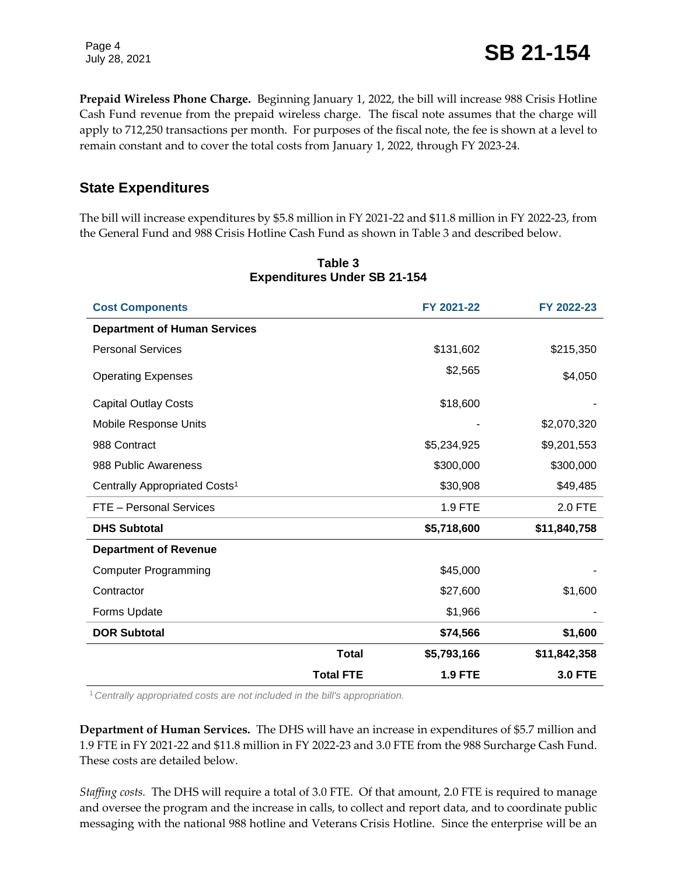Page 4

July 28, 2021 **SB 21-154** 

**Prepaid Wireless Phone Charge.** Beginning January 1, 2022, the bill will increase 988 Crisis Hotline Cash Fund revenue from the prepaid wireless charge. The fiscal note assumes that the charge will apply to 712,250 transactions per month. For purposes of the fiscal note, the fee is shown at a level to remain constant and to cover the total costs from January 1, 2022, through FY 2023-24.

## **State Expenditures**

The bill will increase expenditures by \$5.8 million in FY 2021-22 and \$11.8 million in FY 2022-23, from the General Fund and 988 Crisis Hotline Cash Fund as shown in Table 3 and described below.

| <b>Cost Components</b>                    |                  | FY 2021-22     | FY 2022-23     |
|-------------------------------------------|------------------|----------------|----------------|
| <b>Department of Human Services</b>       |                  |                |                |
| <b>Personal Services</b>                  |                  | \$131,602      | \$215,350      |
| <b>Operating Expenses</b>                 |                  | \$2,565        | \$4,050        |
| <b>Capital Outlay Costs</b>               |                  | \$18,600       |                |
| <b>Mobile Response Units</b>              |                  |                | \$2,070,320    |
| 988 Contract                              |                  | \$5,234,925    | \$9,201,553    |
| 988 Public Awareness                      |                  | \$300,000      | \$300,000      |
| Centrally Appropriated Costs <sup>1</sup> |                  | \$30,908       | \$49,485       |
| FTE - Personal Services                   |                  | 1.9 FTE        | 2.0 FTE        |
| <b>DHS Subtotal</b>                       |                  | \$5,718,600    | \$11,840,758   |
| <b>Department of Revenue</b>              |                  |                |                |
| <b>Computer Programming</b>               |                  | \$45,000       |                |
| Contractor                                |                  | \$27,600       | \$1,600        |
| Forms Update                              |                  | \$1,966        |                |
| <b>DOR Subtotal</b>                       |                  | \$74,566       | \$1,600        |
|                                           | <b>Total</b>     | \$5,793,166    | \$11,842,358   |
|                                           | <b>Total FTE</b> | <b>1.9 FTE</b> | <b>3.0 FTE</b> |

#### **Table 3 Expenditures Under SB 21-154**

<sup>1</sup>*Centrally appropriated costs are not included in the bill's appropriation.*

**Department of Human Services.** The DHS will have an increase in expenditures of \$5.7 million and 1.9 FTE in FY 2021-22 and \$11.8 million in FY 2022-23 and 3.0 FTE from the 988 Surcharge Cash Fund. These costs are detailed below.

*Staffing costs.*The DHS will require a total of 3.0 FTE. Of that amount, 2.0 FTE is required to manage and oversee the program and the increase in calls, to collect and report data, and to coordinate public messaging with the national 988 hotline and Veterans Crisis Hotline. Since the enterprise will be an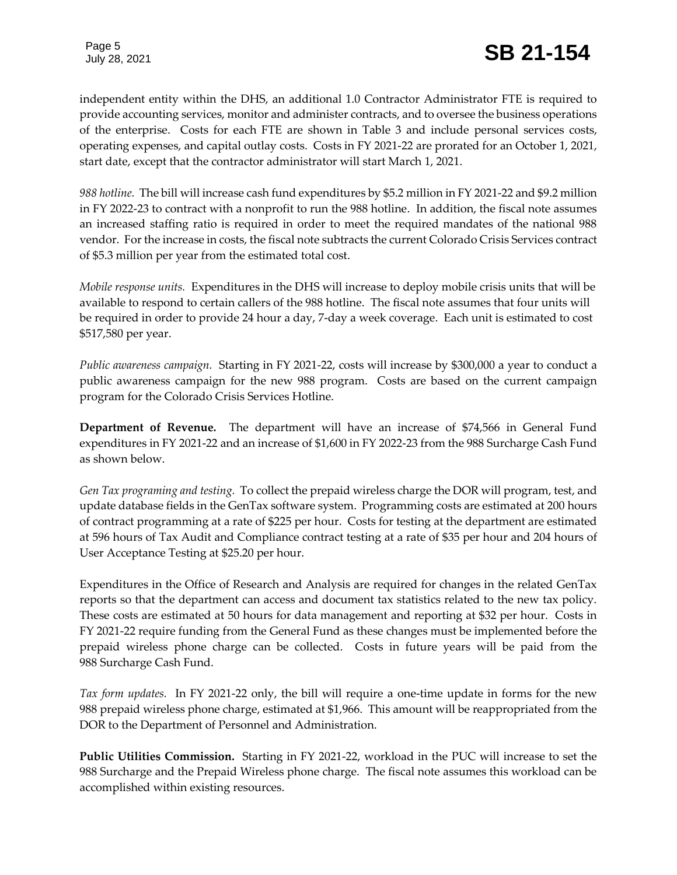independent entity within the DHS, an additional 1.0 Contractor Administrator FTE is required to provide accounting services, monitor and administer contracts, and to oversee the business operations of the enterprise. Costs for each FTE are shown in Table 3 and include personal services costs, operating expenses, and capital outlay costs. Costs in FY 2021-22 are prorated for an October 1, 2021, start date, except that the contractor administrator will start March 1, 2021.

*988 hotline.* The bill will increase cash fund expenditures by \$5.2 million in FY 2021-22 and \$9.2 million in FY 2022-23 to contract with a nonprofit to run the 988 hotline. In addition, the fiscal note assumes an increased staffing ratio is required in order to meet the required mandates of the national 988 vendor. For the increase in costs, the fiscal note subtracts the current Colorado Crisis Services contract of \$5.3 million per year from the estimated total cost.

*Mobile response units.*Expenditures in the DHS will increase to deploy mobile crisis units that will be available to respond to certain callers of the 988 hotline. The fiscal note assumes that four units will be required in order to provide 24 hour a day, 7-day a week coverage. Each unit is estimated to cost \$517,580 per year.

*Public awareness campaign.*Starting in FY 2021-22, costs will increase by \$300,000 a year to conduct a public awareness campaign for the new 988 program. Costs are based on the current campaign program for the Colorado Crisis Services Hotline.

**Department of Revenue.** The department will have an increase of \$74,566 in General Fund expenditures in FY 2021-22 and an increase of \$1,600 in FY 2022-23 from the 988 Surcharge Cash Fund as shown below.

*Gen Tax programing and testing.*To collect the prepaid wireless charge the DOR will program, test, and update database fields in the GenTax software system. Programming costs are estimated at 200 hours of contract programming at a rate of \$225 per hour. Costs for testing at the department are estimated at 596 hours of Tax Audit and Compliance contract testing at a rate of \$35 per hour and 204 hours of User Acceptance Testing at \$25.20 per hour.

Expenditures in the Office of Research and Analysis are required for changes in the related GenTax reports so that the department can access and document tax statistics related to the new tax policy. These costs are estimated at 50 hours for data management and reporting at \$32 per hour. Costs in FY 2021-22 require funding from the General Fund as these changes must be implemented before the prepaid wireless phone charge can be collected. Costs in future years will be paid from the 988 Surcharge Cash Fund.

*Tax form updates.* In FY 2021-22 only, the bill will require a one-time update in forms for the new 988 prepaid wireless phone charge, estimated at \$1,966. This amount will be reappropriated from the DOR to the Department of Personnel and Administration.

**Public Utilities Commission.** Starting in FY 2021-22, workload in the PUC will increase to set the 988 Surcharge and the Prepaid Wireless phone charge. The fiscal note assumes this workload can be accomplished within existing resources.